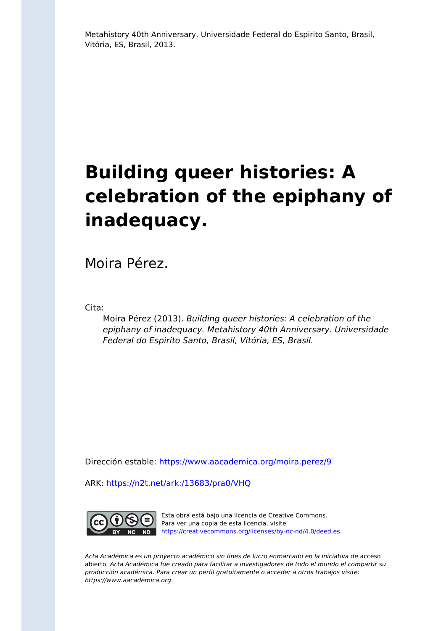Metahistory 40th Anniversary. Universidade Federal do Espirito Santo, Brasil, Vitória, ES, Brasil, 2013.

# **Building queer histories: A celebration of the epiphany of inadequacy.**

Moira Pérez.

Cita:

Moira Pérez (2013). Building queer histories: A celebration of the epiphany of inadequacy. Metahistory 40th Anniversary. Universidade Federal do Espirito Santo, Brasil, Vitória, ES, Brasil.

Dirección estable:<https://www.aacademica.org/moira.perez/9>

ARK: <https://n2t.net/ark:/13683/pra0/VHQ>



Esta obra está bajo una licencia de Creative Commons. Para ver una copia de esta licencia, visite [https://creativecommons.org/licenses/by-nc-nd/4.0/deed.es.](https://creativecommons.org/licenses/by-nc-nd/4.0/deed.es)

Acta Académica es un proyecto académico sin fines de lucro enmarcado en la iniciativa de acceso abierto. Acta Académica fue creado para facilitar a investigadores de todo el mundo el compartir su producción académica. Para crear un perfil gratuitamente o acceder a otros trabajos visite: https://www.aacademica.org.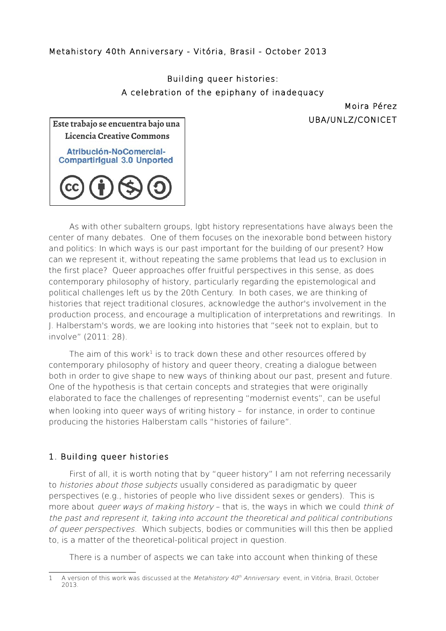### Metahistory 40th Anniversary - Vitória, Brasil - October 2013

# Building queer histories: A celebration of the epiphany of inadequacy

Moira Pérez UBA/UNLZ/CONICET

| Este trabajo se encuentra bajo una                                       |
|--------------------------------------------------------------------------|
| Licencia Creative Commons                                                |
| Atribución-NoComercial-<br><b>Compartirigual 3.0 Unported</b>            |
| $\left(\text{cc}\right)\left(\frac{1}{2}\right)\left(\frac{1}{2}\right)$ |

As with other subaltern groups, lgbt history representations have always been the center of many debates. One of them focuses on the inexorable bond between history and politics: In which ways is our past important for the building of our present? How can we represent it, without repeating the same problems that lead us to exclusion in the first place? Queer approaches offer fruitful perspectives in this sense, as does contemporary philosophy of history, particularly regarding the epistemological and political challenges left us by the 20th Century. In both cases, we are thinking of histories that reject traditional closures, acknowledge the author's involvement in the production process, and encourage a multiplication of interpretations and rewritings. In J. Halberstam's words, we are looking into histories that "seek not to explain, but to involve" (2011: 28).

The aim of this work<sup>[1](#page-1-0)</sup> is to track down these and other resources offered by contemporary philosophy of history and queer theory, creating a dialogue between both in order to give shape to new ways of thinking about our past, present and future. One of the hypothesis is that certain concepts and strategies that were originally elaborated to face the challenges of representing "modernist events", can be useful when looking into queer ways of writing history – for instance, in order to continue producing the histories Halberstam calls "histories of failure".

#### 1. Building queer histories

First of all, it is worth noting that by "queer history" I am not referring necessarily to *histories about those subjects* usually considered as paradigmatic by queer perspectives (e.g., histories of people who live dissident sexes or genders). This is more about *queer ways of making history* – that is, the ways in which we could think of the past and represent it, taking into account the theoretical and political contributions of queer perspectives. Which subjects, bodies or communities will this then be applied to, is a matter of the theoretical-political project in question.

There is a number of aspects we can take into account when thinking of these

<span id="page-1-0"></span><sup>1</sup> A version of this work was discussed at the *Metahistory 40<sup>th</sup> Anniversary* event, in Vitória, Brazil, October 2013.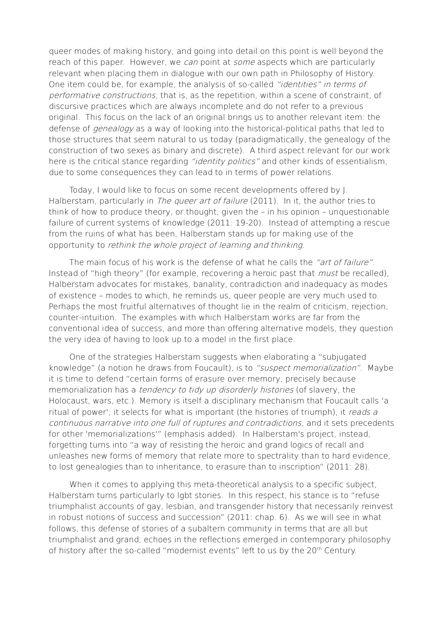queer modes of making history, and going into detail on this point is well beyond the reach of this paper. However, we can point at some aspects which are particularly relevant when placing them in dialogue with our own path in Philosophy of History. One item could be, for example, the analysis of so-called "identities" in terms of performative constructions, that is, as the repetition, within a scene of constraint, of discursive practices which are always incomplete and do not refer to a previous original. This focus on the lack of an original brings us to another relevant item: the defense of *genealogy* as a way of looking into the historical-political paths that led to those structures that seem natural to us today (paradigmatically, the genealogy of the construction of two sexes as binary and discrete). A third aspect relevant for our work here is the critical stance regarding "*identity politics*" and other kinds of essentialism. due to some consequences they can lead to in terms of power relations.

Today, I would like to focus on some recent developments offered by J. Halberstam, particularly in *The queer art of failure* (2011). In it, the author tries to think of how to produce theory, or thought, given the – in his opinion – unquestionable failure of current systems of knowledge (2011: 19-20). Instead of attempting a rescue from the ruins of what has been, Halberstam stands up for making use of the opportunity to rethink the whole project of learning and thinking.

The main focus of his work is the defense of what he calls the "art of failure". Instead of "high theory" (for example, recovering a heroic past that *must* be recalled), Halberstam advocates for mistakes, banality, contradiction and inadequacy as modes of existence – modes to which, he reminds us, queer people are very much used to. Perhaps the most fruitful alternatives of thought lie in the realm of criticism, rejection, counter-intuition. The examples with which Halberstam works are far from the conventional idea of success, and more than offering alternative models, they question the very idea of having to look up to a model in the first place.

One of the strategies Halberstam suggests when elaborating a "subjugated knowledge" (a notion he draws from Foucault), is to "suspect memorialization". Maybe it is time to defend "certain forms of erasure over memory, precisely because memorialization has a *tendency to tidy up disorderly histories* (of slavery, the Holocaust, wars, etc.). Memory is itself a disciplinary mechanism that Foucault calls 'a ritual of power'; it selects for what is important (the histories of triumph), it reads a continuous narrative into one full of ruptures and contradictions, and it sets precedents for other 'memorializations'" (emphasis added). In Halberstam's project, instead, forgetting turns into "a way of resisting the heroic and grand logics of recall and unleashes new forms of memory that relate more to spectrality than to hard evidence, to lost genealogies than to inheritance, to erasure than to inscription" (2011: 28).

When it comes to applying this meta-theoretical analysis to a specific subject, Halberstam turns particularly to lgbt stories. In this respect, his stance is to "refuse triumphalist accounts of gay, lesbian, and transgender history that necessarily reinvest in robust notions of success and succession" (2011: chap. 6). As we will see in what follows, this defense of stories of a subaltern community in terms that are all but triumphalist and grand, echoes in the reflections emerged in contemporary philosophy of history after the so-called "modernist events" left to us by the 20<sup>th</sup> Century.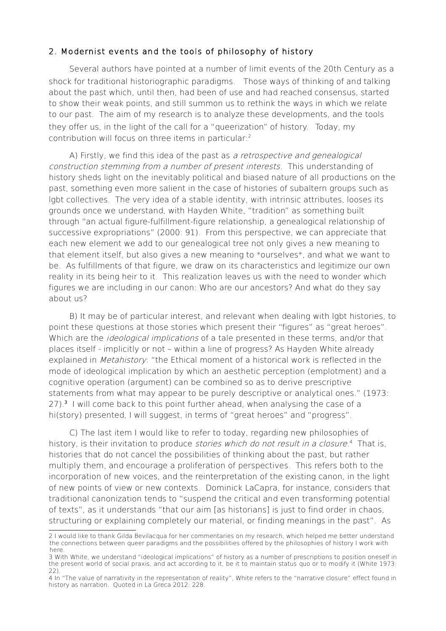## 2. Modernist events and the tools of philosophy of history

Several authors have pointed at a number of limit events of the 20th Century as a shock for traditional historiographic paradigms. Those ways of thinking of and talking about the past which, until then, had been of use and had reached consensus, started to show their weak points, and still summon us to rethink the ways in which we relate to our past. The aim of my research is to analyze these developments, and the tools they offer us, in the light of the call for a "queerization" of history. Today, my contribution will focus on three items in particular:[2](#page-3-0)

A) Firstly, we find this idea of the past as a retrospective and genealogical construction stemming from a number of present interests. This understanding of history sheds light on the inevitably political and biased nature of all productions on the past, something even more salient in the case of histories of subaltern groups such as lgbt collectives. The very idea of a stable identity, with intrinsic attributes, looses its grounds once we understand, with Hayden White, "tradition" as something built through "an actual figure-fulfillment-figure relationship, a genealogical relationship of successive expropriations" (2000: 91). From this perspective, we can appreciate that each new element we add to our genealogical tree not only gives a new meaning to that element itself, but also gives a new meaning to \*ourselves\*, and what we want to be. As fulfillments of that figure, we draw on its characteristics and legitimize our own reality in its being heir to it. This realization leaves us with the need to wonder which figures we are including in our canon: Who are our ancestors? And what do they say about us?

B) It may be of particular interest, and relevant when dealing with lgbt histories, to point these questions at those stories which present their "figures" as "great heroes". Which are the *ideological implications* of a tale presented in these terms, and/or that places itself - implicitly or not – within a line of progress? As Hayden White already explained in *Metahistory*: "the Ethical moment of a historical work is reflected in the mode of ideological implication by which an aesthetic perception (emplotment) and a cognitive operation (argument) can be combined so as to derive prescriptive statements from what may appear to be purely descriptive or analytical ones." (1973: 27).<sup>[3](#page-3-1)</sup> I will come back to this point further ahead, when analysing the case of a hi(story) presented, I will suggest, in terms of "great heroes" and "progress".

C) The last item I would like to refer to today, regarding new philosophies of history, is their invitation to produce *stories which do not result in a closure*.<sup>[4](#page-3-2)</sup> That is, histories that do not cancel the possibilities of thinking about the past, but rather multiply them, and encourage a proliferation of perspectives. This refers both to the incorporation of new voices, and the reinterpretation of the existing canon, in the light of new points of view or new contexts. Dominick LaCapra, for instance, considers that traditional canonization tends to "suspend the critical and even transforming potential of texts", as it understands "that our aim [as historians] is just to find order in chaos, structuring or explaining completely our material, or finding meanings in the past". As

<span id="page-3-0"></span><sup>2</sup> I would like to thank Gilda Bevilacqua for her commentaries on my research, which helped me better understand the connections between queer paradigms and the possibilities offered by the philosophies of history I work with here.

<span id="page-3-1"></span><sup>3</sup> With White, we understand "ideological implications" of history as a number of prescriptions to position oneself in the present world of social praxis, and act according to it, be it to maintain status quo or to modify it (White 1973: 22).

<span id="page-3-2"></span><sup>4</sup> In "The value of narrativity in the representation of reality", White refers to the "narrative closure" effect found in history as narration. Quoted in La Greca 2012: 228.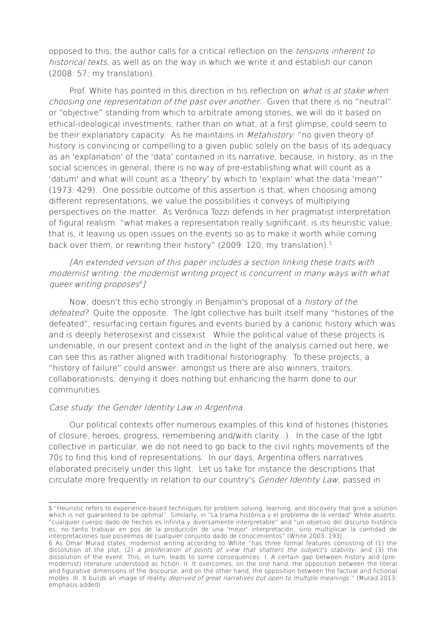opposed to this, the author calls for a critical reflection on the tensions inherent to historical texts, as well as on the way in which we write it and establish our canon (2008: 57; my translation).

Prof. White has pointed in this direction in his reflection on what is at stake when choosing one representation of the past over another. Given that there is no "neutral" or "objective" standing from which to arbitrate among stories, we will do it based on ethical-ideological investments, rather than on what, at a first glimpse, could seem to be their explanatory capacity. As he maintains in *Metahistory:* "no given theory of history is convincing or compelling to a given public solely on the basis of its adequacy as an 'explanation' of the 'data' contained in its narrative, because, in history, as in the social sciences in general, there is no way of pre-establishing what will count as a 'datum' and what will count as a 'theory' by which to 'explain' what the data 'mean'" (1973: 429). One possible outcome of this assertion is that, when choosing among different representations, we value the possibilities it conveys of multiplying perspectives on the matter. As Verónica Tozzi defends in her pragmatist interpretation of figural realism: "what makes a representation really significant, is its heuristic value; that is, it leaving us open issues on the events so as to make it worth while coming back over them, or rewriting their history" (2009: 120; my translation).<sup>[5](#page-4-0)</sup>

[An extended version of this paper includes a section linking these traits with modernist writing: the modernist writing project is concurrent in many ways with what queer writing proposes [6](#page-4-1) ]

Now, doesn't this echo strongly in Benjamin's proposal of a history of the defeated? Quite the opposite. The lgbt collective has built itself many "histories of the defeated", resurfacing certain figures and events buried by a canonic history which was and is deeply heterosexist and cissexist. While the political value of these projects is undeniable, in our present context and in the light of the analysis carried out here, we can see this as rather aligned with traditional historiography. To these projects, a "history of failure" could answer: amongst us there are also winners, traitors, collaborationists; denying it does nothing but enhancing the harm done to our communities.

#### Case study: the Gender Identity Law in Argentina

Our political contexts offer numerous examples of this kind of histories (histories of closure, heroes, progress, remembering and/with clarity...). In the case of the lgbt collective in particular, we do not need to go back to the civil rights movements of the 70s to find this kind of representations. In our days, Argentina offers narratives elaborated precisely under this light. Let us take for instance the descriptions that circulate more frequently in relation to our country's Gender Identity Law, passed in

<span id="page-4-0"></span><sup>5</sup> "Heuristic refers to experience-based techniques for problem solving, learning, and discovery that give a solution which is not guaranteed to be optimal". Similarly, in "La trama histórica y el problema de la verdad" White asserts: "cualquier cuerpo dado de hechos es infinita y diversamente interpretable" and "un objetivo del discurso histórico es, no tanto trabajar en pos de la producción de una 'mejor' interpretación, sino multiplicar la cantidad de interpretaciones que poseemos de cualquier conjunto dado de conocimientos" (White 2003: 193).

<span id="page-4-1"></span><sup>6</sup> As Omar Murad states, modernist writing according to White "has three formal features consisting of (1) the dissolution of the plot, (2) a proliferation of points of view that shatters the subject's stability; and (3) the dissolution of the event. This, in turn, leads to some consequences: I. A certain gap between history and (premodernist) literature understood as fiction. II. It overcomes, on the one hand, the opposition between the literal and figurative dimensions of the discourse, and on the other hand, the opposition between the factual and fictional modes. III. It builds an image of reality *deprived of great narratives but open to multiple meanings.*" (Murad 2013; emphasis added)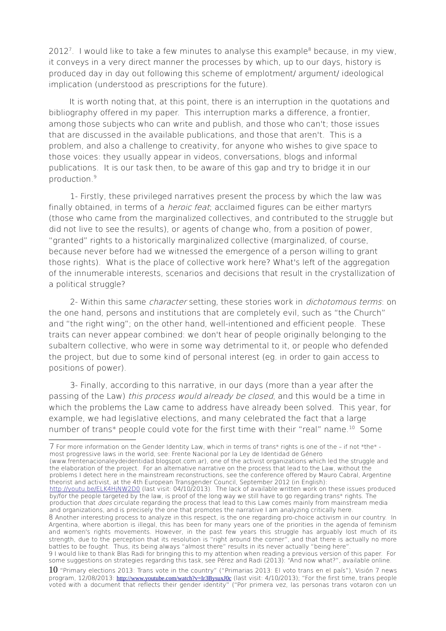2012<sup>[7](#page-5-0)</sup>. I would like to take a few minutes to analyse this example<sup>[8](#page-5-1)</sup> because, in my view, it conveys in a very direct manner the processes by which, up to our days, history is produced day in day out following this scheme of emplotment/ argument/ ideological implication (understood as prescriptions for the future).

It is worth noting that, at this point, there is an interruption in the quotations and bibliography offered in my paper. This interruption marks a difference, a frontier, among those subjects who can write and publish, and those who can't; those issues that are discussed in the available publications, and those that aren't. This is a problem, and also a challenge to creativity, for anyone who wishes to give space to those voices: they usually appear in videos, conversations, blogs and informal publications. It is our task then, to be aware of this gap and try to bridge it in our production<sup>[9](#page-5-2)</sup>

1- Firstly, these privileged narratives present the process by which the law was finally obtained, in terms of a *heroic feat*; acclaimed figures can be either martyrs (those who came from the marginalized collectives, and contributed to the struggle but did not live to see the results), or agents of change who, from a position of power, "granted" rights to a historically marginalized collective (marginalized, of course, because never before had we witnessed the emergence of a person willing to grant those rights). What is the place of collective work here? What's left of the aggregation of the innumerable interests, scenarios and decisions that result in the crystallization of a political struggle?

2- Within this same *character* setting, these stories work in *dichotomous terms*: on the one hand, persons and institutions that are completely evil, such as "the Church" and "the right wing"; on the other hand, well-intentioned and efficient people. These traits can never appear combined: we don't hear of people originally belonging to the subaltern collective, who were in some way detrimental to it, or people who defended the project, but due to some kind of personal interest (eg. in order to gain access to positions of power).

3- Finally, according to this narrative, in our days (more than a year after the passing of the Law) this process would already be closed, and this would be a time in which the problems the Law came to address have already been solved. This year, for example, we had legislative elections, and many celebrated the fact that a large number of trans\* people could vote for the first time with their "real" name.<sup>[10](#page-5-3)</sup> Some

(www.frentenacionaleydeidentidad.blogspot.com.ar), one of the activist organizations which led the struggle and the elaboration of the project. For an alternative narrative on the process that lead to the Law, without the problems I detect here in the mainstream reconstructions, see the conference offered by Mauro Cabral, Argentine theorist and activist, at the 4th European Transgender Council, September 2012 (in English):

<span id="page-5-2"></span>some suggestions on strategies regarding this task, see Pérez and Radi (2013): "And now what?", available online.

<span id="page-5-3"></span> $10$  "Primary elections 2013: Trans vote in the country" ("Primarias 2013: El voto trans en el país"), Visión 7 news program, 12/08/2013: [http://www.youtube.com/watch?v=Ir3BysuxJ0c](http://www.youtube.com/watch?v=Ir3BysuxJ0c.(%C3%BAltima) (last visit: 4/10/2013); "For the first time, trans people voted with a document that reflects their gender identity" ("Por primera vez, las personas trans votaron con un

<span id="page-5-0"></span><sup>7</sup> For more information on the Gender Identity Law, which in terms of trans\* rights is one of the – if not \*the\* most progressive laws in the world, see: Frente Nacional por la Ley de Identidad de Género

<http://youtu.be/ELK4HjNW2D0>(last visit: 04/10/2013). The lack of available written work on these issues produced by/for the people targeted by the law, is proof of the long way we still have to go regarding trans\* rights. The production that *does* circulate regarding the process that lead to this Law comes mainly from mainstream media and organizations, and is precisely the one that promotes the narrative I am analyzing critically here.

<span id="page-5-1"></span><sup>8</sup> Another interesting process to analyze in this respect, is the one regarding pro-choice activism in our country. In Argentina, where abortion is illegal, this has been for many years one of the priorities in the agenda of feminism and women's rights movements. However, in the past few years this struggle has arguably lost much of its strength, due to the perception that its resolution is "right around the corner", and that there is actually no more battles to be fought. Thus, its being always "almost there" results in its never actually "being here". 9 I would like to thank Blas Radi for bringing this to my attention when reading a previous version of this paper. For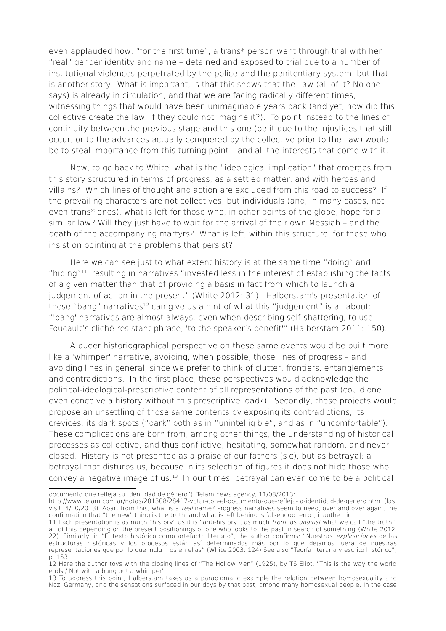even applauded how, "for the first time", a trans\* person went through trial with her "real" gender identity and name – detained and exposed to trial due to a number of institutional violences perpetrated by the police and the penitentiary system, but that is another story. What is important, is that this shows that the Law (all of it? No one says) is already in circulation, and that we are facing radically different times, witnessing things that would have been unimaginable years back (and yet, how did this collective create the law, if they could not imagine it?). To point instead to the lines of continuity between the previous stage and this one (be it due to the injustices that still occur, or to the advances actually conquered by the collective prior to the Law) would be to steal importance from this turning point – and all the interests that come with it.

Now, to go back to White, what is the "ideological implication" that emerges from this story structured in terms of progress, as a settled matter, and with heroes and villains? Which lines of thought and action are excluded from this road to success? If the prevailing characters are not collectives, but individuals (and, in many cases, not even trans\* ones), what is left for those who, in other points of the globe, hope for a similar law? Will they just have to wait for the arrival of their own Messiah – and the death of the accompanying martyrs? What is left, within this structure, for those who insist on pointing at the problems that persist?

Here we can see just to what extent history is at the same time "doing" and "hiding"[11](#page-6-0), resulting in narratives "invested less in the interest of establishing the facts of a given matter than that of providing a basis in fact from which to launch a judgement of action in the present" (White 2012: 31). Halberstam's presentation of these "bang" narratives<sup>[12](#page-6-1)</sup> can give us a hint of what this "judgement" is all about: "'bang' narratives are almost always, even when describing self-shattering, to use Foucault's cliché-resistant phrase, 'to the speaker's benefit'" (Halberstam 2011: 150).

A queer historiographical perspective on these same events would be built more like a 'whimper' narrative, avoiding, when possible, those lines of progress – and avoiding lines in general, since we prefer to think of clutter, frontiers, entanglements and contradictions. In the first place, these perspectives would acknowledge the political-ideological-prescriptive content of all representations of the past (could one even conceive a history without this prescriptive load?). Secondly, these projects would propose an unsettling of those same contents by exposing its contradictions, its crevices, its dark spots ("dark" both as in "unintelligible", and as in "uncomfortable"). These complications are born from, among other things, the understanding of historical processes as collective, and thus conflictive, hesitating, somewhat random, and never closed. History is not presented as a praise of our fathers (sic), but as betrayal: a betrayal that disturbs us, because in its selection of figures it does not hide those who convey a negative image of us. $13$  In our times, betrayal can even come to be a political

documento que refleja su identidad de género"), Telam news agency, 11/08/2013:

<http://www.telam.com.ar/notas/201308/28417-votar-con-el-documento-que-refleja-la-identidad-de-genero.html>(last visit: 4/10/2013). Apart from this, what is a *real* name? Progress narratives seem to need, over and over again, the confirmation that "the new" thing is the truth, and what is left behind is falsehood, error, inauthentic.

<span id="page-6-0"></span><sup>11</sup> Each presentation is as much "history" as it is "anti-history", as much *from* as *against* what we call "the truth"; all of this depending on the present positionings of one who looks to the past in search of something (White 2012: 22). Similarly, in "El texto histórico como artefacto literario", the author confirms: "Nuestras explicaciones de las estructuras históricas y los procesos están así determinados más por lo que dejamos fuera de nuestras representaciones que por lo que incluimos en ellas" (White 2003: 124) See also "Teoría literaria y escrito histórico", p. 153.

<span id="page-6-1"></span><sup>12</sup> Here the author toys with the closing lines of "The Hollow Men" (1925), by TS Eliot: "This is the way the world ends / Not with a bang but a whimper".

<span id="page-6-2"></span><sup>13</sup> To address this point, Halberstam takes as a paradigmatic example the relation between homosexuality and Nazi Germany, and the sensations surfaced in our days by that past, among many homosexual people. In the case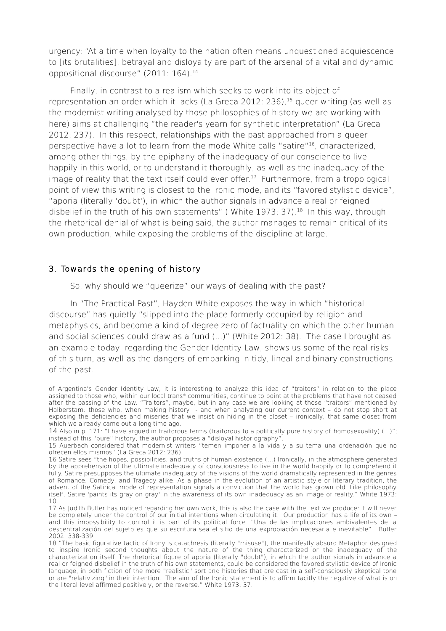urgency: "At a time when loyalty to the nation often means unquestioned acquiescence to [its brutalities], betrayal and disloyalty are part of the arsenal of a vital and dynamic oppositional discourse" (2011: 164).<sup>[14](#page-7-0)</sup>

Finally, in contrast to a realism which seeks to work into its object of representation an order which it lacks (La Greca 2012: 236),<sup>[15](#page-7-1)</sup> queer writing (as well as the modernist writing analysed by those philosophies of history we are working with here) aims at challenging "the reader's yearn for synthetic interpretation" (La Greca 2012: 237). In this respect, relationships with the past approached from a queer perspective have a lot to learn from the mode White calls "satire" [16](#page-7-2), characterized, among other things, by the epiphany of the inadequacy of our conscience to live happily in this world, or to understand it thoroughly, as well as the inadequacy of the image of reality that the text itself could ever offer.<sup>[17](#page-7-3)</sup> Furthermore, from a tropological point of view this writing is closest to the ironic mode, and its "favored stylistic device", "aporia (literally 'doubt'), in which the author signals in advance a real or feigned disbelief in the truth of his own statements" (White  $1973: 37$ ).<sup>[18](#page-7-4)</sup> In this way, through the rhetorical denial of what is being said, the author manages to remain critical of its own production, while exposing the problems of the discipline at large.

#### 3. Towards the opening of history

So, why should we "queerize" our ways of dealing with the past?

In "The Practical Past", Hayden White exposes the way in which "historical discourse" has quietly "slipped into the place formerly occupied by religion and metaphysics, and become a kind of degree zero of factuality on which the other human and social sciences could draw as a fund (...)" (White 2012: 38). The case I brought as an example today, regarding the Gender Identity Law, shows us some of the real risks of this turn, as well as the dangers of embarking in tidy, lineal and binary constructions of the past.

of Argentina's Gender Identity Law, it is interesting to analyze this idea of "traitors" in relation to the place assigned to those who, within our local trans\* communities, continue to point at the problems that have not ceased after the passing of the Law. "Traitors", maybe, but in any case we are looking at those "traitors" mentioned by Halberstam: those who, when making history - and when analyzing our current context – do not stop short at exposing the deficiencies and miseries that we insist on hiding in the closet – ironically, that same closet from which we already came out a long time ago.

<span id="page-7-0"></span><sup>14</sup> Also in p. 171: "I have argued in traitorous terms (traitorous to a politically pure history of homosexuality) (...)"; instead of this "pure" history, the author proposes a "disloyal historiography".

<span id="page-7-1"></span><sup>15</sup> Auerbach considered that modernist writers "temen imponer a la vida y a su tema una ordenación que no ofrecen ellos mismos" (La Greca 2012: 236).

<span id="page-7-2"></span><sup>16</sup> Satire sees "the hopes, possibilities, and truths of human existence (…) Ironically, in the atmosphere generated by the apprehension of the ultimate inadequacy of consciousness to live in the world happily or to comprehend it fully. Satire presupposes the ultimate inadequacy of the visions of the world dramatically represented in the genres of Romance, Comedy, and Tragedy alike. As a phase in the evolution of an artistic style or literary tradition, the advent of the Satirical mode of representation signals a conviction that the world has grown old. Like philosophy itself, Satire 'paints its gray on gray' in the awareness of its own inadequacy as an image of reality." White 1973: 10.

<span id="page-7-3"></span><sup>17</sup> As Judith Butler has noticed regarding her own work, this is also the case with the text we produce: it will never be completely under the control of our initial intentions when circulating it. Our production has a life of its own – and this impossibility to control it is part of its political force. "Una de las implicaciones ambivalentes de la descentralización del sujeto es que su escritura sea el sitio de una expropiación necesaria e inevitable". Butler 2002: 338-339.

<span id="page-7-4"></span><sup>18 &</sup>quot;The basic figurative tactic of Irony is catachresis (literally "misuse"), the manifestly absurd Metaphor designed to inspire Ironic second thoughts about the nature of the thing characterized or the inadequacy of the characterization itself. The rhetorical figure of aporia (literally "doubt"), in which the author signals in advance a real or feigned disbelief in the truth of his own statements, could be considered the favored stylistic device of Ironic language, in both fiction of the more "realistic" sort and histories that are cast in a self-consciously skeptical tone or are "relativizing" in their intention. The aim of the Ironic statement is to affirm tacitly the negative of what is on the literal level affirmed positively, or the reverse." White 1973: 37.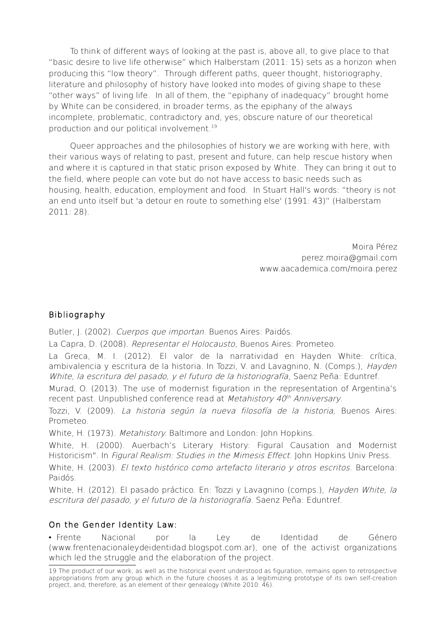To think of different ways of looking at the past is, above all, to give place to that "basic desire to live life otherwise" which Halberstam (2011: 15) sets as a horizon when producing this "low theory". Through different paths, queer thought, historiography, literature and philosophy of history have looked into modes of giving shape to these "other ways" of living life. In all of them, the "epiphany of inadequacy" brought home by White can be considered, in broader terms, as the epiphany of the always incomplete, problematic, contradictory and, yes, obscure nature of our theoretical production and our political involvement.[19](#page-8-0)

Queer approaches and the philosophies of history we are working with here, with their various ways of relating to past, present and future, can help rescue history when and where it is captured in that static prison exposed by White. They can bring it out to the field, where people can vote but do not have access to basic needs such as housing, health, education, employment and food. In Stuart Hall's words: "theory is not an end unto itself but 'a detour en route to something else' (1991: 43)" (Halberstam 2011: 28).

> Moira Pérez perez.moira@gmail.com www.aacademica.com/moira.perez

## Bibliography

Butler, J. (2002). Cuerpos que importan. Buenos Aires: Paidós.

La Capra, D. (2008). Representar el Holocausto, Buenos Aires: Prometeo.

La Greca, M. I. (2012). El valor de la narratividad en Hayden White: crítica, ambivalencia y escritura de la historia. In Tozzi, V. and Lavagnino, N. (Comps.), Hayden White, la escritura del pasado, y el futuro de la historiografía, Saenz Peña: Eduntref.

Murad, O. (2013). The use of modernist figuration in the representation of Argentina's recent past. Unpublished conference read at *Metahistory 40<sup>th</sup> Anniversary*.

Tozzi, V. (2009). La historia según la nueva filosofía de la historia, Buenos Aires: Prometeo.

White, H. (1973). Metahistory. Baltimore and London: John Hopkins.

White, H. (2000). Auerbach's Literary History: Figural Causation and Modernist Historicism". In Figural Realism: Studies in the Mimesis Effect. John Hopkins Univ Press.

White, H. (2003). El texto histórico como artefacto literario y otros escritos. Barcelona: Paidós.

White, H. (2012). El pasado práctico. En: Tozzi y Lavagnino (comps.). Havden White, la escritura del pasado, y el futuro de la historiografía. Saenz Peña: Eduntref.

# On the Gender Identity Law:

• Frente Nacional por la Ley de Identidad de Género (www.frentenacionaleydeidentidad.blogspot.com.ar), one of the activist organizations which led the struggle and the elaboration of the project.

<span id="page-8-0"></span><sup>19</sup> The product of our work, as well as the historical event understood as figuration, remains open to retrospective appropriations from any group which in the future chooses it as a legitimizing prototype of its own self-creation project, and, therefore, as an element of their genealogy (White 2010: 46).